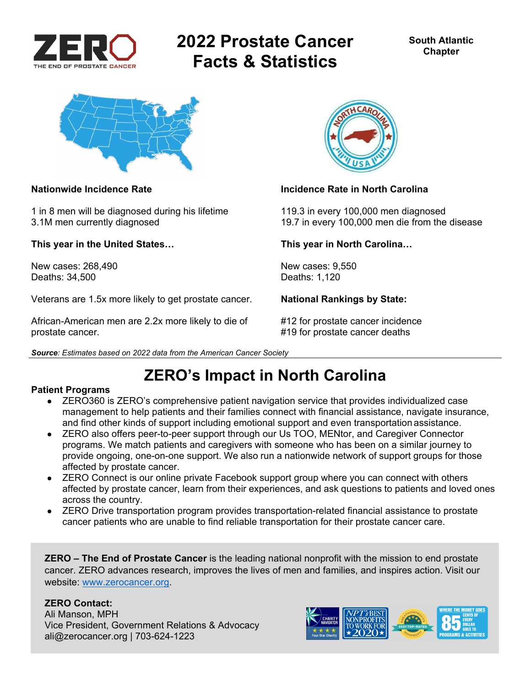

# **2022 Prostate Cancer Facts & Statistics**



1 in 8 men will be diagnosed during his lifetime 119.3 in every 100,000 men diagnosed

**This year in the United States… This year in North Carolina…** 

New cases: 268.490 **New cases: 9,550** New cases: 9,550 Deaths: 34,500 Deaths: 1,120

Veterans are 1.5x more likely to get prostate cancer. **National Rankings by State:** 

African-American men are 2.2x more likely to die of #12 for prostate cancer incidence prostate cancer. #19 for prostate cancer deaths



### **Nationwide Incidence Rate Incidence Rate in North Carolina**

3.1M men currently diagnosed 19.7 in every 100,000 men die from the disease

*Source: Estimates based on 2022 data from the American Cancer Society* 

## **ZERO's Impact in North Carolina**

### **Patient Programs**

- ZERO360 is ZERO's comprehensive patient navigation service that provides individualized case management to help patients and their families connect with financial assistance, navigate insurance, and find other kinds of support including emotional support and even transportation assistance.
- ZERO also offers peer-to-peer support through our Us TOO, MENtor, and Caregiver Connector programs. We match patients and caregivers with someone who has been on a similar journey to provide ongoing, one-on-one support. We also run a nationwide network of support groups for those affected by prostate cancer.
- ZERO Connect is our online private Facebook support group where you can connect with others affected by prostate cancer, learn from their experiences, and ask questions to patients and loved ones across the country.
- ZERO Drive transportation program provides transportation-related financial assistance to prostate cancer patients who are unable to find reliable transportation for their prostate cancer care.

**ZERO – The End of Prostate Cancer** is the leading national nonprofit with the mission to end prostate cancer. ZERO advances research, improves the lives of men and families, and inspires action. Visit our website: www.zerocancer.org.

### **ZERO Contact:**

Ali Manson, MPH Vice President, Government Relations & Advocacy ali@zerocancer.org | 703-624-1223